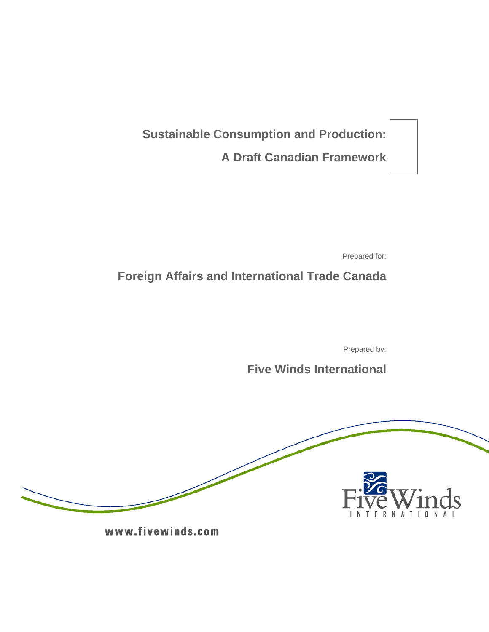**Sustainable Consumption and Production: A Draft Canadian Framework**

Prepared for:

**Foreign Affairs and International Trade Canada** 

Prepared by:

# **Five Winds International**



www.fivewinds.com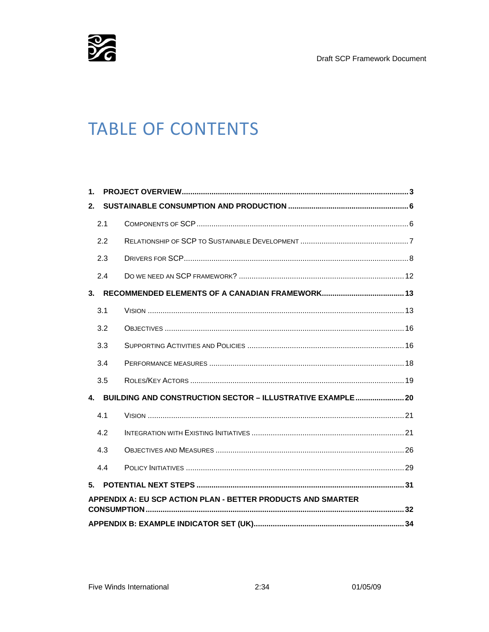Draft SCP Framework Document



# **TABLE OF CONTENTS**

| 1.                                                              |     |  |  |  |  |
|-----------------------------------------------------------------|-----|--|--|--|--|
| $2-$                                                            |     |  |  |  |  |
|                                                                 | 2.1 |  |  |  |  |
|                                                                 | 2.2 |  |  |  |  |
|                                                                 | 2.3 |  |  |  |  |
|                                                                 | 2.4 |  |  |  |  |
| 3 <sub>1</sub>                                                  |     |  |  |  |  |
|                                                                 | 3.1 |  |  |  |  |
|                                                                 | 3.2 |  |  |  |  |
|                                                                 | 3.3 |  |  |  |  |
|                                                                 | 3.4 |  |  |  |  |
|                                                                 | 3.5 |  |  |  |  |
| BUILDING AND CONSTRUCTION SECTOR - ILLUSTRATIVE EXAMPLE 20<br>4 |     |  |  |  |  |
|                                                                 | 4.1 |  |  |  |  |
|                                                                 | 4.2 |  |  |  |  |
|                                                                 | 4.3 |  |  |  |  |
|                                                                 | 4.4 |  |  |  |  |
| 5.                                                              |     |  |  |  |  |
| APPENDIX A: EU SCP ACTION PLAN - BETTER PRODUCTS AND SMARTER    |     |  |  |  |  |
|                                                                 |     |  |  |  |  |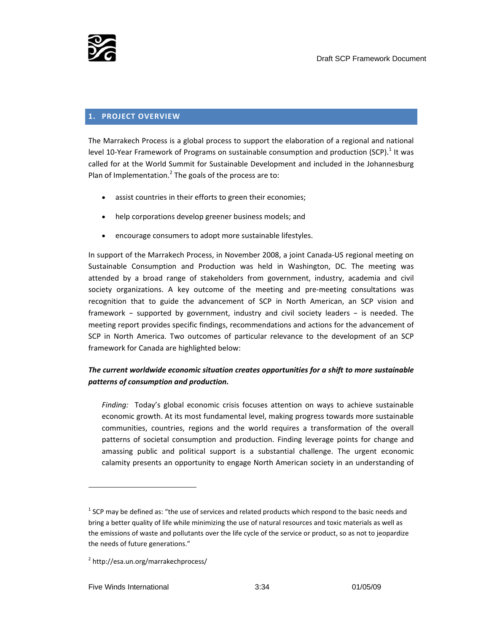

#### **1. PROJECT OVERVIEW**

The Marrakech Process is a global process to support the elaboration of a regional and national level 10-Year Framework of Programs on sustainable consumption and production (SCP). $^1$  It was called for at the World Summit for Sustainable Development and included in the Johannesburg Plan of Implementation.<sup>2</sup> The goals of the process are to:

- assist countries in their efforts to green their economies;
- help corporations develop greener business models; and
- encourage consumers to adopt more sustainable lifestyles.

In support of the Marrakech Process, in November 2008, a joint Canada‐US regional meeting on Sustainable Consumption and Production was held in Washington, DC. The meeting was attended by a broad range of stakeholders from government, industry, academia and civil society organizations. A key outcome of the meeting and pre-meeting consultations was recognition that to guide the advancement of SCP in North American, an SCP vision and framework – supported by government, industry and civil society leaders – is needed. The meeting report provides specific findings, recommendations and actions for the advancement of SCP in North America. Two outcomes of particular relevance to the development of an SCP framework for Canada are highlighted below:

# *The current worldwide economic situation creates opportunities for a shift to more sustainable patterns of consumption and production.*

*Finding:* Today's global economic crisis focuses attention on ways to achieve sustainable economic growth. At its most fundamental level, making progress towards more sustainable communities, countries, regions and the world requires a transformation of the overall patterns of societal consumption and production. Finding leverage points for change and amassing public and political support is a substantial challenge. The urgent economic calamity presents an opportunity to engage North American society in an understanding of

 $1$  SCP may be defined as: "the use of services and related products which respond to the basic needs and bring a better quality of life while minimizing the use of natural resources and toxic materials as well as the emissions of waste and pollutants over the life cycle of the service or product, so as not to jeopardize the needs of future generations."

<sup>2</sup> http://esa.un.org/marrakechprocess/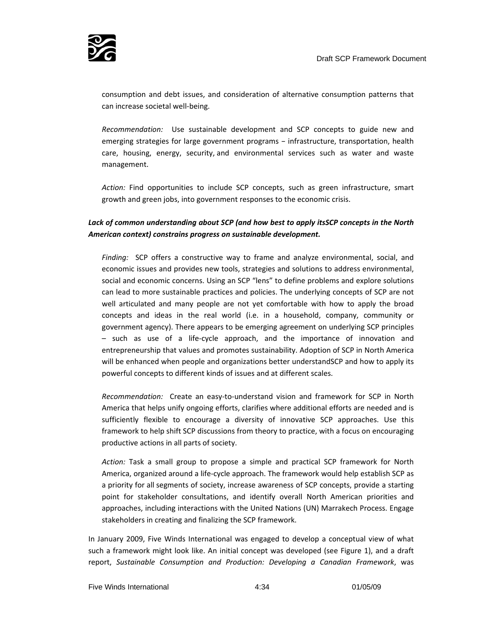

consumption and debt issues, and consideration of alternative consumption patterns that can increase societal well‐being.

*Recommendation:* Use sustainable development and SCP concepts to guide new and emerging strategies for large government programs – infrastructure, transportation, health care, housing, energy, security, and environmental services such as water and waste management.

*Action:* Find opportunities to include SCP concepts, such as green infrastructure, smart growth and green jobs, into government responses to the economic crisis.

# *Lack of common understanding about SCP (and how best to apply itsSCP concepts in the North American context) constrains progress on sustainable development.*

*Finding:* SCP offers a constructive way to frame and analyze environmental, social, and economic issues and provides new tools, strategies and solutions to address environmental, social and economic concerns. Using an SCP "lens" to define problems and explore solutions can lead to more sustainable practices and policies. The underlying concepts of SCP are not well articulated and many people are not yet comfortable with how to apply the broad concepts and ideas in the real world (i.e. in a household, company, community or government agency). There appears to be emerging agreement on underlying SCP principles – such as use of a life‐cycle approach, and the importance of innovation and entrepreneurship that values and promotes sustainability. Adoption of SCP in North America will be enhanced when people and organizations better understandSCP and how to apply its powerful concepts to different kinds of issues and at different scales.

*Recommendation:* Create an easy‐to‐understand vision and framework for SCP in North America that helps unify ongoing efforts, clarifies where additional efforts are needed and is sufficiently flexible to encourage a diversity of innovative SCP approaches. Use this framework to help shift SCP discussions from theory to practice, with a focus on encouraging productive actions in all parts of society.

*Action:* Task a small group to propose a simple and practical SCP framework for North America, organized around a life‐cycle approach. The framework would help establish SCP as a priority for all segments of society, increase awareness of SCP concepts, provide a starting point for stakeholder consultations, and identify overall North American priorities and approaches, including interactions with the United Nations (UN) Marrakech Process. Engage stakeholders in creating and finalizing the SCP framework.

In January 2009, Five Winds International was engaged to develop a conceptual view of what such a framework might look like. An initial concept was developed (see Figure 1), and a draft report, *Sustainable Consumption and Production: Developing a Canadian Framework*, was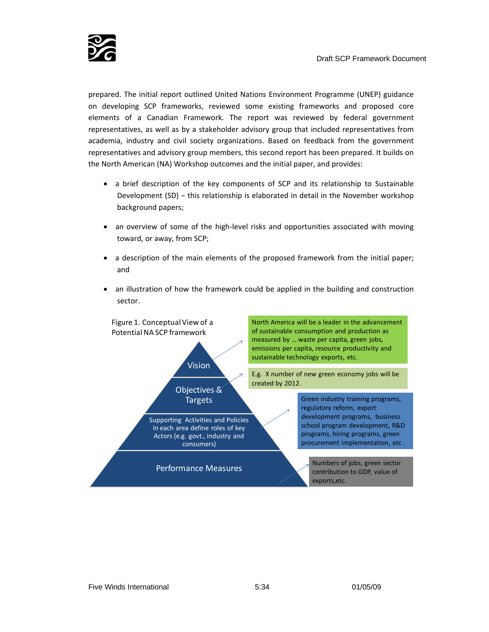

prepared. The initial report outlined United Nations Environment Programme (UNEP) guidance on developing SCP frameworks, reviewed some existing frameworks and proposed core elements of a Canadian Framework. The report was reviewed by federal government representatives, as well as by a stakeholder advisory group that included representatives from academia, industry and civil society organizations. Based on feedback from the government representatives and advisory group members, this second report has been prepared. It builds on the North American (NA) Workshop outcomes and the initial paper, and provides:

- a brief description of the key components of SCP and its relationship to Sustainable Development (SD) – this relationship is elaborated in detail in the November workshop background papers;
- an overview of some of the high-level risks and opportunities associated with moving toward, or away, from SCP;
- a description of the main elements of the proposed framework from the initial paper; and
- an illustration of how the framework could be applied in the building and construction sector.

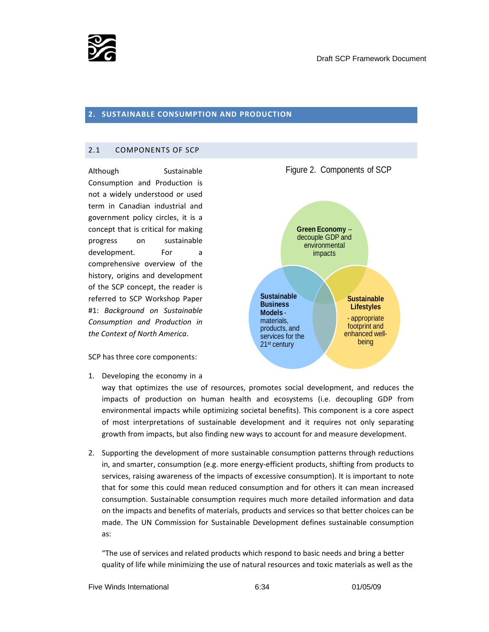

#### **2. SUSTAINABLE CONSUMPTION AND PRODUCTION**

#### 2.1 COMPONENTS OF SCP

Although Sustainable Consumption and Production is not a widely understood or used term in Canadian industrial and government policy circles, it is a concept that is critical for making progress on sustainable development. For a comprehensive overview of the history, origins and development of the SCP concept, the reader is referred to SCP Workshop Paper #1: *Background on Sustainable Consumption and Production in the Context of North America*.

SCP has three core components:

1. Developing the economy in a

way that optimizes the use of resources, promotes social development, and reduces the impacts of production on human health and ecosystems (i.e. decoupling GDP from environmental impacts while optimizing societal benefits). This component is a core aspect of most interpretations of sustainable development and it requires not only separating growth from impacts, but also finding new ways to account for and measure development.

2. Supporting the development of more sustainable consumption patterns through reductions in, and smarter, consumption (e.g. more energy‐efficient products, shifting from products to services, raising awareness of the impacts of excessive consumption). It is important to note that for some this could mean reduced consumption and for others it can mean increased consumption. Sustainable consumption requires much more detailed information and data on the impacts and benefits of materials, products and services so that better choices can be made. The UN Commission for Sustainable Development defines sustainable consumption as:

3. "The use of services and related products which respond to basic needs and bring a better quality of life while minimizing the use of natural resources and toxic materials as well as the



**Green Economy** – decouple GDP and

Figure 2. Components of SCP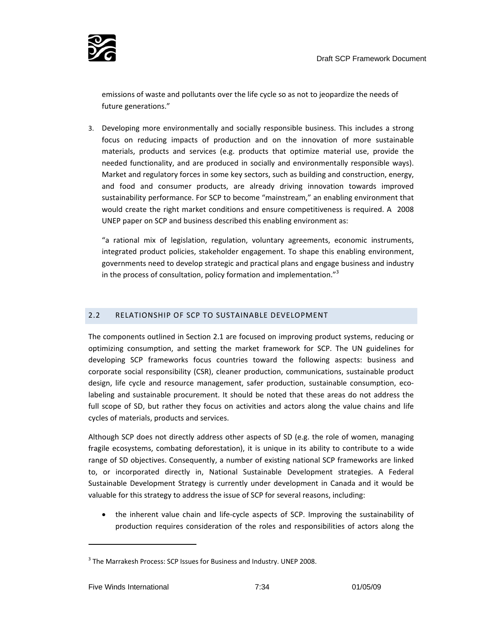

emissions of waste and pollutants over the life cycle so as not to jeopardize the needs of future generations."

3. Developing more environmentally and socially responsible business. This includes a strong focus on reducing impacts of production and on the innovation of more sustainable materials, products and services (e.g. products that optimize material use, provide the needed functionality, and are produced in socially and environmentally responsible ways). Market and regulatory forces in some key sectors, such as building and construction, energy, and food and consumer products, are already driving innovation towards improved sustainability performance. For SCP to become "mainstream," an enabling environment that would create the right market conditions and ensure competitiveness is required. A 2008 UNEP paper on SCP and business described this enabling environment as:

"a rational mix of legislation, regulation, voluntary agreements, economic instruments, integrated product policies, stakeholder engagement. To shape this enabling environment, governments need to develop strategic and practical plans and engage business and industry in the process of consultation, policy formation and implementation."<sup>3</sup>

### 2.2 RELATIONSHIP OF SCP TO SUSTAINABLE DEVELOPMENT

The components outlined in Section 2.1 are focused on improving product systems, reducing or optimizing consumption, and setting the market framework for SCP. The UN guidelines for developing SCP frameworks focus countries toward the following aspects: business and corporate social responsibility (CSR), cleaner production, communications, sustainable product design, life cycle and resource management, safer production, sustainable consumption, ecolabeling and sustainable procurement. It should be noted that these areas do not address the full scope of SD, but rather they focus on activities and actors along the value chains and life cycles of materials, products and services.

Although SCP does not directly address other aspects of SD (e.g. the role of women, managing fragile ecosystems, combating deforestation), it is unique in its ability to contribute to a wide range of SD objectives. Consequently, a number of existing national SCP frameworks are linked to, or incorporated directly in, National Sustainable Development strategies. A Federal Sustainable Development Strategy is currently under development in Canada and it would be valuable for this strategy to address the issue of SCP for several reasons, including:

• the inherent value chain and life‐cycle aspects of SCP. Improving the sustainability of production requires consideration of the roles and responsibilities of actors along the

<sup>&</sup>lt;sup>3</sup> The Marrakesh Process: SCP Issues for Business and Industry. UNEP 2008.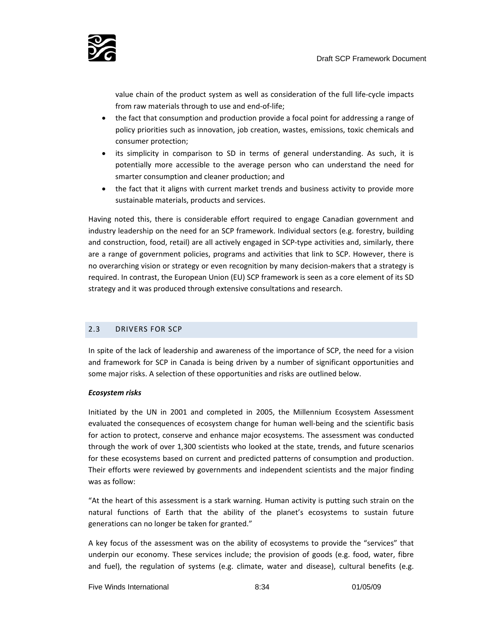

value chain of the product system as well as consideration of the full life‐cycle impacts from raw materials through to use and end‐of‐life;

- the fact that consumption and production provide a focal point for addressing a range of policy priorities such as innovation, job creation, wastes, emissions, toxic chemicals and consumer protection;
- its simplicity in comparison to SD in terms of general understanding. As such, it is potentially more accessible to the average person who can understand the need for smarter consumption and cleaner production; and
- the fact that it aligns with current market trends and business activity to provide more sustainable materials, products and services.

Having noted this, there is considerable effort required to engage Canadian government and industry leadership on the need for an SCP framework. Individual sectors (e.g. forestry, building and construction, food, retail) are all actively engaged in SCP‐type activities and, similarly, there are a range of government policies, programs and activities that link to SCP. However, there is no overarching vision or strategy or even recognition by many decision-makers that a strategy is required. In contrast, the European Union (EU) SCP framework is seen as a core element of its SD strategy and it was produced through extensive consultations and research.

#### 2.3 DRIVERS FOR SCP

In spite of the lack of leadership and awareness of the importance of SCP, the need for a vision and framework for SCP in Canada is being driven by a number of significant opportunities and some major risks. A selection of these opportunities and risks are outlined below.

#### *Ecosystem risks*

Initiated by the UN in 2001 and completed in 2005, the Millennium Ecosystem Assessment evaluated the consequences of ecosystem change for human well-being and the scientific basis for action to protect, conserve and enhance major ecosystems. The assessment was conducted through the work of over 1,300 scientists who looked at the state, trends, and future scenarios for these ecosystems based on current and predicted patterns of consumption and production. Their efforts were reviewed by governments and independent scientists and the major finding was as follow:

"At the heart of this assessment is a stark warning. Human activity is putting such strain on the natural functions of Earth that the ability of the planet's ecosystems to sustain future generations can no longer be taken for granted."

A key focus of the assessment was on the ability of ecosystems to provide the "services" that underpin our economy. These services include; the provision of goods (e.g. food, water, fibre and fuel), the regulation of systems (e.g. climate, water and disease), cultural benefits (e.g.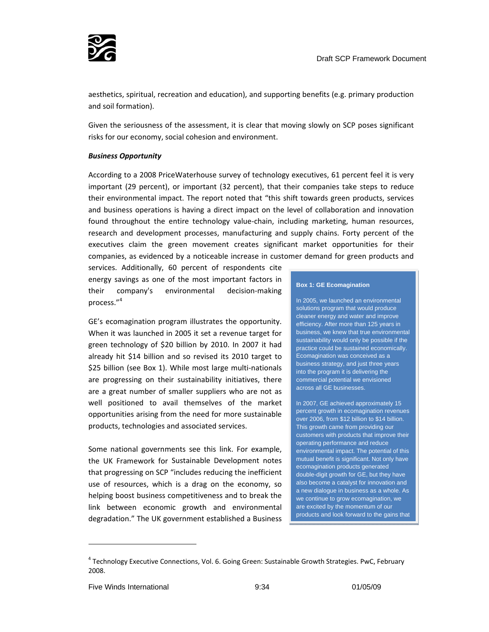

aesthetics, spiritual, recreation and education), and supporting benefits (e.g. primary production and soil formation).

Given the seriousness of the assessment, it is clear that moving slowly on SCP poses significant risks for our economy, social cohesion and environment.

#### *Business Opportunity*

According to a 2008 PriceWaterhouse survey of technology executives, 61 percent feel it is very important (29 percent), or important (32 percent), that their companies take steps to reduce their environmental impact. The report noted that "this shift towards green products, services and business operations is having a direct impact on the level of collaboration and innovation found throughout the entire technology value-chain, including marketing, human resources, research and development processes, manufacturing and supply chains. Forty percent of the executives claim the green movement creates significant market opportunities for their companies, as evidenced by a noticeable increase in customer demand for green products and

services. Additionally, 60 percent of respondents cite energy savings as one of the most important factors in their company's environmental decision‐making process."<sup>4</sup>

GE's ecomagination program illustrates the opportunity. When it was launched in 2005 it set a revenue target for green technology of \$20 billion by 2010. In 2007 it had already hit \$14 billion and so revised its 2010 target to \$25 billion (see Box 1). While most large multi-nationals are progressing on their sustainability initiatives, there are a great number of smaller suppliers who are not as well positioned to avail themselves of the market opportunities arising from the need for more sustainable products, technologies and associated services.

Some national governments see this link. For example, the UK Framework for Sustainable Development notes that progressing on SCP "includes reducing the inefficient use of resources, which is a drag on the economy, so helping boost business competitiveness and to break the link between economic growth and environmental degradation." The UK government established a Business

#### **Box 1: GE Ecomagination**

In 2005, we launched an environmental solutions program that would produce cleaner energy and water and improve efficiency. After more than 125 years in business, we knew that true environmental sustainability would only be possible if the practice could be sustained economically. Ecomagination was conceived as a business strategy, and just three years into the program it is delivering the commercial potential we envisioned across all GE businesses.

In 2007, GE achieved approximately 15 percent growth in ecomagination revenues over 2006, from \$12 billion to \$14 billion. This growth came from providing our customers with products that improve their operating performance and reduce environmental impact. The potential of this mutual benefit is significant. Not only have ecomagination products generated double-digit growth for GE, but they have also become a catalyst for innovation and a new dialogue in business as a whole. As we continue to grow ecomagination, we are excited by the momentum of our products and look forward to the gains that

<sup>&</sup>lt;sup>4</sup> Technology Executive Connections, Vol. 6. Going Green: Sustainable Growth Strategies. PwC, February 2008.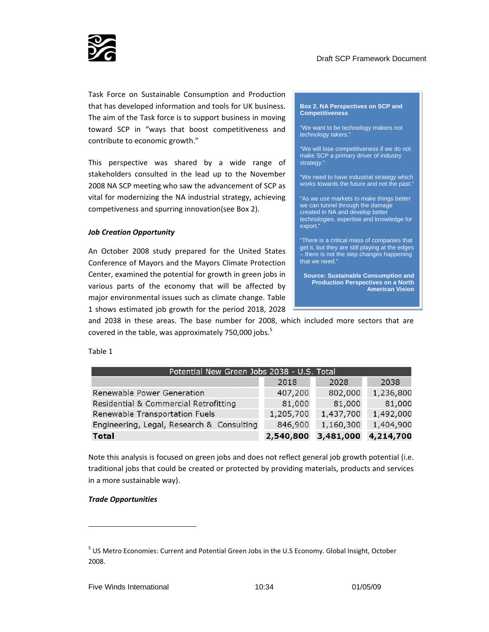

Task Force on Sustainable Consumption and Production that has developed information and tools for UK business. The aim of the Task force is to support business in moving toward SCP in "ways that boost competitiveness and contribute to economic growth."

This perspective was shared by a wide range of stakeholders consulted in the lead up to the November 2008 NA SCP meeting who saw the advancement of SCP as vital for modernizing the NA industrial strategy, achieving competiveness and spurring innovation(see Box 2).

#### *Job Creation Opportunity*

An October 2008 study prepared for the United States Conference of Mayors and the Mayors Climate Protection Center, examined the potential for growth in green jobs in various parts of the economy that will be affected by major environmental issues such as climate change. Table 1 shows estimated job growth for the period 2018, 2028 **Box 2. NA Perspectives on SCP and Competitiveness** 

"We want to be technology makers not technology takers.'

"We will lose competitiveness if we do not make SCP a primary driver of industry strategy."

"We need to have industrial strategy which works towards the future and not the past."

"As we use markets to make things better we can tunnel through the damage created in NA and develop better technologies, expertise and knowledge for export."

"There is a critical mass of companies that get it, but they are still playing at the edges – there is not the step changes happening that we need."

**Source: Sustainable Consumption and Production Perspectives on a North American Vision** 

and 2038 in these areas. The base number for 2008, which included more sectors that are covered in the table, was approximately 750,000 jobs. $5$ 

Table 1

| Potential New Green Jobs 2038 - U.S. Total |           |           |           |  |
|--------------------------------------------|-----------|-----------|-----------|--|
|                                            | 2018      | 2028      | 2038      |  |
| Renewable Power Generation                 | 407,200   | 802,000   | 1,236,800 |  |
| Residential & Commercial Retrofitting      | 81,000    | 81,000    | 81,000    |  |
| Renewable Transportation Fuels             | 1,205,700 | 1,437,700 | 1,492,000 |  |
| Engineering, Legal, Research & Consulting  | 846,900   | 1,160,300 | 1,404,900 |  |
| <b>Total</b>                               | 2,540,800 | 3,481,000 | 4,214,700 |  |

Note this analysis is focused on green jobs and does not reflect general job growth potential (i.e. traditional jobs that could be created or protected by providing materials, products and services in a more sustainable way).

#### *Trade Opportunities*

<u> 1989 - Johann Barn, mars ar breithinn ar chuid ann an t-</u>

<sup>5</sup> US Metro Economies: Current and Potential Green Jobs in the U.S Economy. Global Insight, October 2008.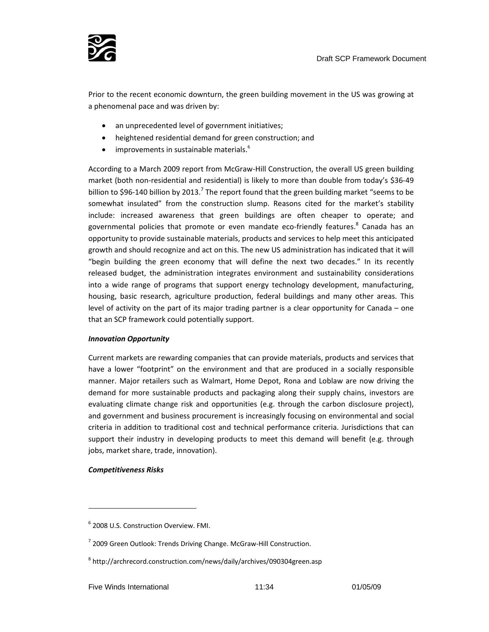

Prior to the recent economic downturn, the green building movement in the US was growing at a phenomenal pace and was driven by:

- an unprecedented level of government initiatives;
- heightened residential demand for green construction; and
- improvements in sustainable materials.<sup>6</sup>

According to a March 2009 report from McGraw‐Hill Construction, the overall US green building market (both non-residential and residential) is likely to more than double from today's \$36-49 billion to \$96-140 billion by 2013.<sup>7</sup> The report found that the green building market "seems to be somewhat insulated" from the construction slump. Reasons cited for the market's stability include: increased awareness that green buildings are often cheaper to operate; and governmental policies that promote or even mandate eco-friendly features.<sup>8</sup> Canada has an opportunity to provide sustainable materials, products and services to help meet this anticipated growth and should recognize and act on this. The new US administration has indicated that it will "begin building the green economy that will define the next two decades." In its recently released budget, the administration integrates environment and sustainability considerations into a wide range of programs that support energy technology development, manufacturing, housing, basic research, agriculture production, federal buildings and many other areas. This level of activity on the part of its major trading partner is a clear opportunity for Canada – one that an SCP framework could potentially support.

#### *Innovation Opportunity*

Current markets are rewarding companies that can provide materials, products and services that have a lower "footprint" on the environment and that are produced in a socially responsible manner. Major retailers such as Walmart, Home Depot, Rona and Loblaw are now driving the demand for more sustainable products and packaging along their supply chains, investors are evaluating climate change risk and opportunities (e.g. through the carbon disclosure project), and government and business procurement is increasingly focusing on environmental and social criteria in addition to traditional cost and technical performance criteria. Jurisdictions that can support their industry in developing products to meet this demand will benefit (e.g. through jobs, market share, trade, innovation).

#### *Competitiveness Risks*

<u> 1989 - Johann Barn, mars ar breithinn ar chuid ann an t-</u>

<sup>6</sup> 2008 U.S. Construction Overview. FMI.

<sup>&</sup>lt;sup>7</sup> 2009 Green Outlook: Trends Driving Change. McGraw-Hill Construction.

<sup>8</sup> http://archrecord.construction.com/news/daily/archives/090304green.asp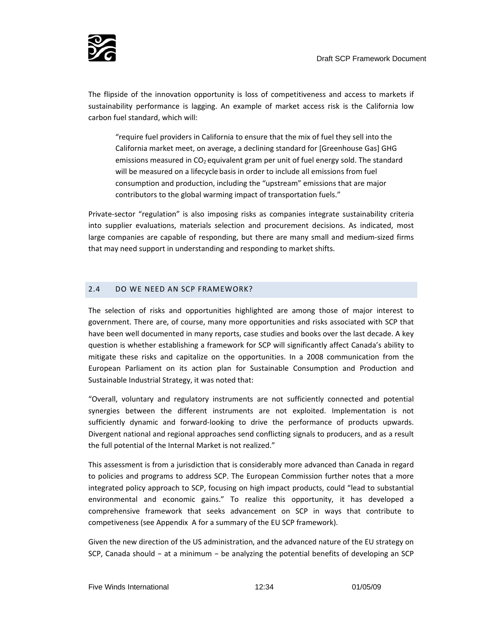

The flipside of the innovation opportunity is loss of competitiveness and access to markets if sustainability performance is lagging. An example of market access risk is the California low carbon fuel standard, which will:

"require fuel providers in California to ensure that the mix of fuel they sell into the California market meet, on average, a declining standard for [Greenhouse Gas] GHG emissions measured in  $CO<sub>2</sub>$  equivalent gram per unit of fuel energy sold. The standard will be measured on a lifecycle basis in order to include all emissions from fuel consumption and production, including the "upstream" emissions that are major contributors to the global warming impact of transportation fuels."

Private‐sector "regulation" is also imposing risks as companies integrate sustainability criteria into supplier evaluations, materials selection and procurement decisions. As indicated, most large companies are capable of responding, but there are many small and medium‐sized firms that may need support in understanding and responding to market shifts.

#### 2.4 DO WE NEED AN SCP FRAMEWORK?

The selection of risks and opportunities highlighted are among those of major interest to government. There are, of course, many more opportunities and risks associated with SCP that have been well documented in many reports, case studies and books over the last decade. A key question is whether establishing a framework for SCP will significantly affect Canada's ability to mitigate these risks and capitalize on the opportunities. In a 2008 communication from the European Parliament on its action plan for Sustainable Consumption and Production and Sustainable Industrial Strategy, it was noted that:

"Overall, voluntary and regulatory instruments are not sufficiently connected and potential synergies between the different instruments are not exploited. Implementation is not sufficiently dynamic and forward-looking to drive the performance of products upwards. Divergent national and regional approaches send conflicting signals to producers, and as a result the full potential of the Internal Market is not realized."

This assessment is from a jurisdiction that is considerably more advanced than Canada in regard to policies and programs to address SCP. The European Commission further notes that a more integrated policy approach to SCP, focusing on high impact products, could "lead to substantial environmental and economic gains." To realize this opportunity, it has developed a comprehensive framework that seeks advancement on SCP in ways that contribute to competiveness (see Appendix A for a summary of the EU SCP framework).

Given the new direction of the US administration, and the advanced nature of the EU strategy on SCP, Canada should – at a minimum – be analyzing the potential benefits of developing an SCP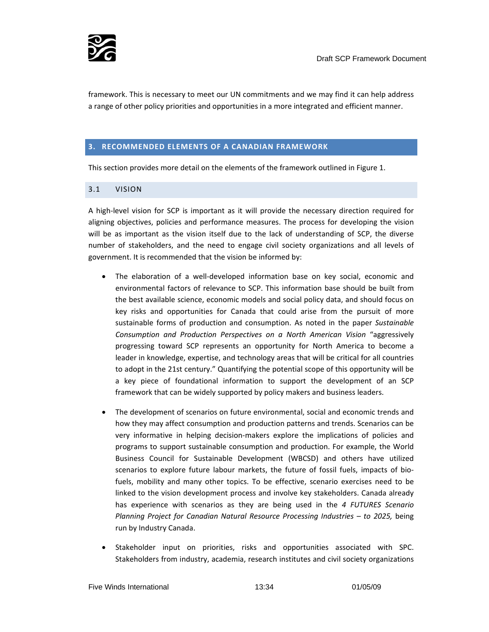

framework. This is necessary to meet our UN commitments and we may find it can help address a range of other policy priorities and opportunities in a more integrated and efficient manner.

#### **3. RECOMMENDED ELEMENTS OF A CANADIAN FRAMEWORK**

This section provides more detail on the elements of the framework outlined in Figure 1.

#### 3.1 VISION

A high‐level vision for SCP is important as it will provide the necessary direction required for aligning objectives, policies and performance measures. The process for developing the vision will be as important as the vision itself due to the lack of understanding of SCP, the diverse number of stakeholders, and the need to engage civil society organizations and all levels of government. It is recommended that the vision be informed by:

- The elaboration of a well-developed information base on key social, economic and environmental factors of relevance to SCP. This information base should be built from the best available science, economic models and social policy data, and should focus on key risks and opportunities for Canada that could arise from the pursuit of more sustainable forms of production and consumption. As noted in the paper *Sustainable Consumption and Production Perspectives on a North American Vision* "aggressively progressing toward SCP represents an opportunity for North America to become a leader in knowledge, expertise, and technology areas that will be critical for all countries to adopt in the 21st century." Quantifying the potential scope of this opportunity will be a key piece of foundational information to support the development of an SCP framework that can be widely supported by policy makers and business leaders.
- The development of scenarios on future environmental, social and economic trends and how they may affect consumption and production patterns and trends. Scenarios can be very informative in helping decision‐makers explore the implications of policies and programs to support sustainable consumption and production. For example, the World Business Council for Sustainable Development (WBCSD) and others have utilized scenarios to explore future labour markets, the future of fossil fuels, impacts of biofuels, mobility and many other topics. To be effective, scenario exercises need to be linked to the vision development process and involve key stakeholders. Canada already has experience with scenarios as they are being used in the *4 FUTURES Scenario Planning Project for Canadian Natural Resource Processing Industries – to 2025,* being run by Industry Canada.
- Stakeholder input on priorities, risks and opportunities associated with SPC. Stakeholders from industry, academia, research institutes and civil society organizations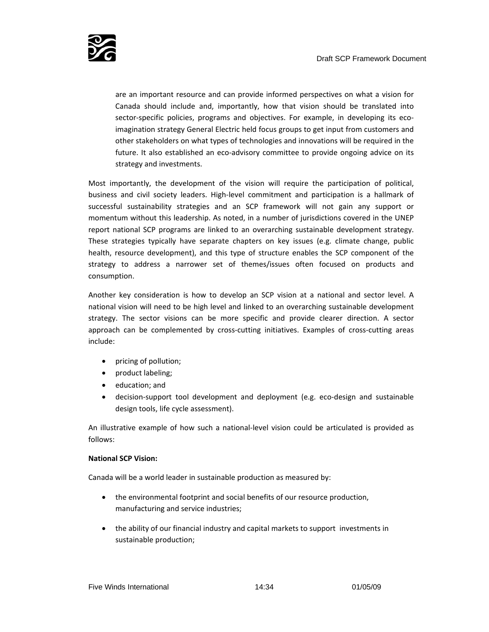

are an important resource and can provide informed perspectives on what a vision for Canada should include and, importantly, how that vision should be translated into sector-specific policies, programs and objectives. For example, in developing its ecoimagination strategy General Electric held focus groups to get input from customers and other stakeholders on what types of technologies and innovations will be required in the future. It also established an eco-advisory committee to provide ongoing advice on its strategy and investments.

Most importantly, the development of the vision will require the participation of political, business and civil society leaders. High‐level commitment and participation is a hallmark of successful sustainability strategies and an SCP framework will not gain any support or momentum without this leadership. As noted, in a number of jurisdictions covered in the UNEP report national SCP programs are linked to an overarching sustainable development strategy. These strategies typically have separate chapters on key issues (e.g. climate change, public health, resource development), and this type of structure enables the SCP component of the strategy to address a narrower set of themes/issues often focused on products and consumption.

Another key consideration is how to develop an SCP vision at a national and sector level. A national vision will need to be high level and linked to an overarching sustainable development strategy. The sector visions can be more specific and provide clearer direction. A sector approach can be complemented by cross-cutting initiatives. Examples of cross-cutting areas include:

- pricing of pollution;
- product labeling;
- education; and
- decision-support tool development and deployment (e.g. eco-design and sustainable design tools, life cycle assessment).

An illustrative example of how such a national‐level vision could be articulated is provided as follows:

#### **National SCP Vision:**

Canada will be a world leader in sustainable production as measured by:

- the environmental footprint and social benefits of our resource production, manufacturing and service industries;
- the ability of our financial industry and capital markets to support investments in sustainable production;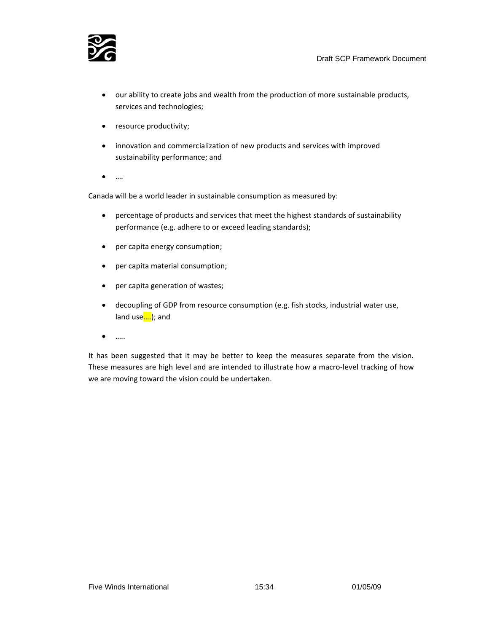

- our ability to create jobs and wealth from the production of more sustainable products, services and technologies;
- resource productivity;
- innovation and commercialization of new products and services with improved sustainability performance; and
- ….

Canada will be a world leader in sustainable consumption as measured by:

- percentage of products and services that meet the highest standards of sustainability performance (e.g. adhere to or exceed leading standards);
- per capita energy consumption;
- per capita material consumption;
- per capita generation of wastes;
- decoupling of GDP from resource consumption (e.g. fish stocks, industrial water use, land use....); and
- …..

It has been suggested that it may be better to keep the measures separate from the vision. These measures are high level and are intended to illustrate how a macro-level tracking of how we are moving toward the vision could be undertaken.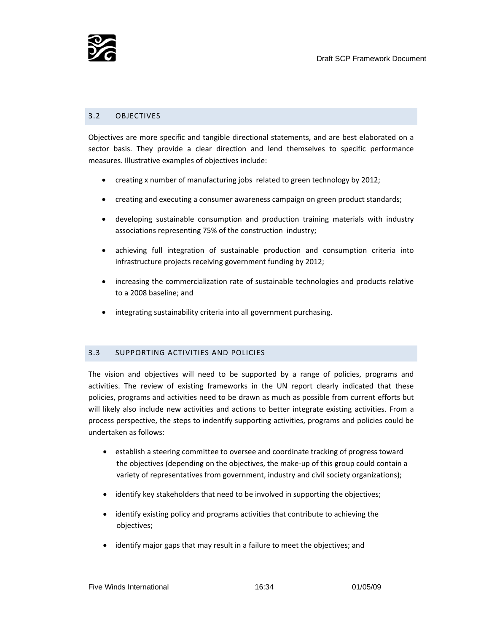

#### 3.2 OBJECTIVES

Objectives are more specific and tangible directional statements, and are best elaborated on a sector basis. They provide a clear direction and lend themselves to specific performance measures. Illustrative examples of objectives include:

- creating x number of manufacturing jobs related to green technology by 2012;
- creating and executing a consumer awareness campaign on green product standards;
- developing sustainable consumption and production training materials with industry associations representing 75% of the construction industry;
- achieving full integration of sustainable production and consumption criteria into infrastructure projects receiving government funding by 2012;
- increasing the commercialization rate of sustainable technologies and products relative to a 2008 baseline; and
- integrating sustainability criteria into all government purchasing.

#### 3.3 SUPPORTING ACTIVITIES AND POLICIES

The vision and objectives will need to be supported by a range of policies, programs and activities. The review of existing frameworks in the UN report clearly indicated that these policies, programs and activities need to be drawn as much as possible from current efforts but will likely also include new activities and actions to better integrate existing activities. From a process perspective, the steps to indentify supporting activities, programs and policies could be undertaken as follows:

- establish a steering committee to oversee and coordinate tracking of progress toward the objectives (depending on the objectives, the make‐up of this group could contain a variety of representatives from government, industry and civil society organizations);
- identify key stakeholders that need to be involved in supporting the objectives;
- identify existing policy and programs activities that contribute to achieving the objectives;
- identify major gaps that may result in a failure to meet the objectives; and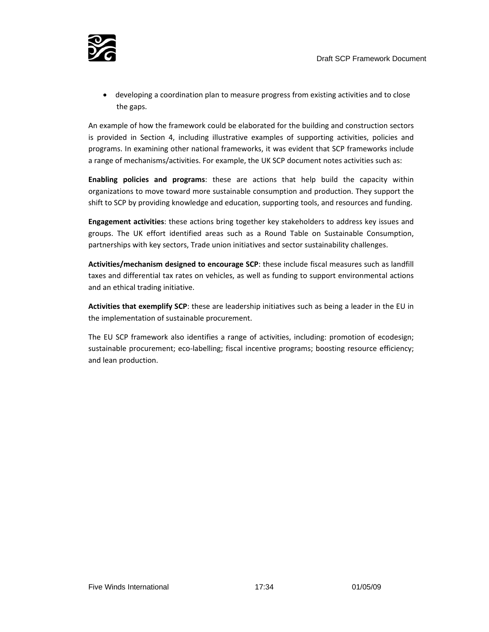

• developing a coordination plan to measure progress from existing activities and to close the gaps.

An example of how the framework could be elaborated for the building and construction sectors is provided in Section 4, including illustrative examples of supporting activities, policies and programs. In examining other national frameworks, it was evident that SCP frameworks include a range of mechanisms/activities. For example, the UK SCP document notes activities such as:

**Enabling policies and programs**: these are actions that help build the capacity within organizations to move toward more sustainable consumption and production. They support the shift to SCP by providing knowledge and education, supporting tools, and resources and funding.

**Engagement activities**: these actions bring together key stakeholders to address key issues and groups. The UK effort identified areas such as a Round Table on Sustainable Consumption, partnerships with key sectors, Trade union initiatives and sector sustainability challenges.

**Activities/mechanism designed to encourage SCP**: these include fiscal measures such as landfill taxes and differential tax rates on vehicles, as well as funding to support environmental actions and an ethical trading initiative.

**Activities that exemplify SCP**: these are leadership initiatives such as being a leader in the EU in the implementation of sustainable procurement.

The EU SCP framework also identifies a range of activities, including: promotion of ecodesign; sustainable procurement; eco-labelling; fiscal incentive programs; boosting resource efficiency; and lean production.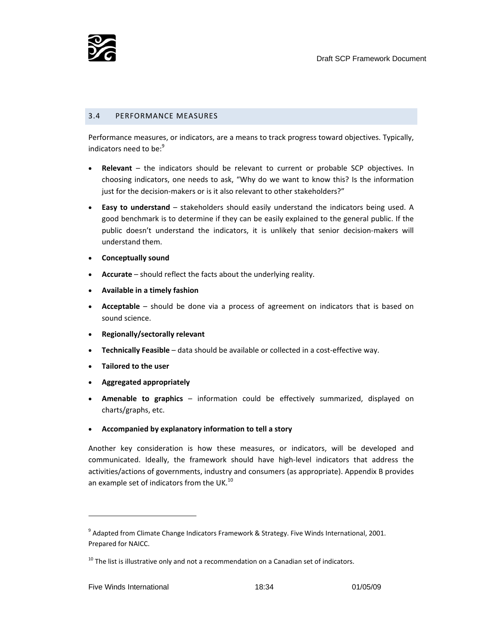

#### 3.4 PERFORMANCE MEASURES

Performance measures, or indicators, are a means to track progress toward objectives. Typically, indicators need to be:<sup>9</sup>

- **Relevant** the indicators should be relevant to current or probable SCP objectives. In choosing indicators, one needs to ask, "Why do we want to know this? Is the information just for the decision-makers or is it also relevant to other stakeholders?"
- **Easy to understand** stakeholders should easily understand the indicators being used. A good benchmark is to determine if they can be easily explained to the general public. If the public doesn't understand the indicators, it is unlikely that senior decision‐makers will understand them.
- **Conceptually sound**
- **Accurate** should reflect the facts about the underlying reality.
- **Available in a timely fashion**
- **Acceptable** should be done via a process of agreement on indicators that is based on sound science.
- **Regionally/sectorally relevant**
- **Technically Feasible** data should be available or collected in a cost‐effective way.
- **Tailored to the user**
- **Aggregated appropriately**
- **Amenable to graphics** information could be effectively summarized, displayed on charts/graphs, etc.
- **Accompanied by explanatory information to tell a story**

Another key consideration is how these measures, or indicators, will be developed and communicated. Ideally, the framework should have high-level indicators that address the activities/actions of governments, industry and consumers (as appropriate). Appendix B provides an example set of indicators from the UK.<sup>10</sup>

<u> 1989 - Johann Barn, mars ar breithinn ar chuid ann an t-</u>

 $9$  Adapted from Climate Change Indicators Framework & Strategy. Five Winds International, 2001. Prepared for NAICC.

 $10$  The list is illustrative only and not a recommendation on a Canadian set of indicators.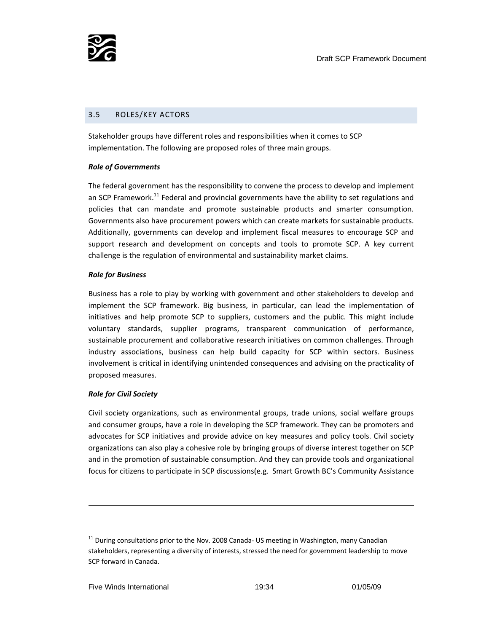

#### 3.5 ROLES/KEY ACTORS

Stakeholder groups have different roles and responsibilities when it comes to SCP implementation. The following are proposed roles of three main groups.

#### *Role of Governments*

The federal government has the responsibility to convene the process to develop and implement an SCP Framework.<sup>11</sup> Federal and provincial governments have the ability to set regulations and policies that can mandate and promote sustainable products and smarter consumption. Governments also have procurement powers which can create markets for sustainable products. Additionally, governments can develop and implement fiscal measures to encourage SCP and support research and development on concepts and tools to promote SCP. A key current challenge is the regulation of environmental and sustainability market claims.

#### *Role for Business*

Business has a role to play by working with government and other stakeholders to develop and implement the SCP framework. Big business, in particular, can lead the implementation of initiatives and help promote SCP to suppliers, customers and the public. This might include voluntary standards, supplier programs, transparent communication of performance, sustainable procurement and collaborative research initiatives on common challenges. Through industry associations, business can help build capacity for SCP within sectors. Business involvement is critical in identifying unintended consequences and advising on the practicality of proposed measures.

#### *Role for Civil Society*

Civil society organizations, such as environmental groups, trade unions, social welfare groups and consumer groups, have a role in developing the SCP framework. They can be promoters and advocates for SCP initiatives and provide advice on key measures and policy tools. Civil society organizations can also play a cohesive role by bringing groups of diverse interest together on SCP and in the promotion of sustainable consumption. And they can provide tools and organizational focus for citizens to participate in SCP discussions(e.g. Smart Growth BC's Community Assistance

 $11$  During consultations prior to the Nov. 2008 Canada- US meeting in Washington, many Canadian stakeholders, representing a diversity of interests, stressed the need for government leadership to move SCP forward in Canada.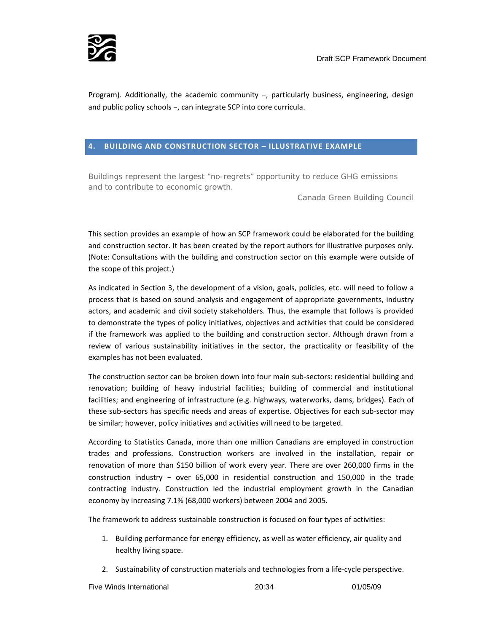

Program). Additionally, the academic community –, particularly business, engineering, design and public policy schools –, can integrate SCP into core curricula.

#### **4. BUILDING AND CONSTRUCTION SECTOR – ILLUSTRATIVE EXAMPLE**

*Buildings represent the largest "no-regrets" opportunity to reduce GHG emissions and to contribute to economic growth.* 

Canada Green Building Council

This section provides an example of how an SCP framework could be elaborated for the building and construction sector. It has been created by the report authors for illustrative purposes only. (Note: Consultations with the building and construction sector on this example were outside of the scope of this project.)

As indicated in Section 3, the development of a vision, goals, policies, etc. will need to follow a process that is based on sound analysis and engagement of appropriate governments, industry actors, and academic and civil society stakeholders. Thus, the example that follows is provided to demonstrate the types of policy initiatives, objectives and activities that could be considered if the framework was applied to the building and construction sector. Although drawn from a review of various sustainability initiatives in the sector, the practicality or feasibility of the examples has not been evaluated.

The construction sector can be broken down into four main sub‐sectors: residential building and renovation; building of heavy industrial facilities; building of commercial and institutional facilities; and engineering of infrastructure (e.g. highways, waterworks, dams, bridges). Each of these sub‐sectors has specific needs and areas of expertise. Objectives for each sub‐sector may be similar; however, policy initiatives and activities will need to be targeted.

According to Statistics Canada, more than one million Canadians are employed in construction trades and professions. Construction workers are involved in the installation, repair or renovation of more than \$150 billion of work every year. There are over 260,000 firms in the construction industry – over 65,000 in residential construction and 150,000 in the trade contracting industry. Construction led the industrial employment growth in the Canadian economy by increasing 7.1% (68,000 workers) between 2004 and 2005.

The framework to address sustainable construction is focused on four types of activities:

- 1. Building performance for energy efficiency, as well as water efficiency, air quality and healthy living space.
- 2. Sustainability of construction materials and technologies from a life-cycle perspective.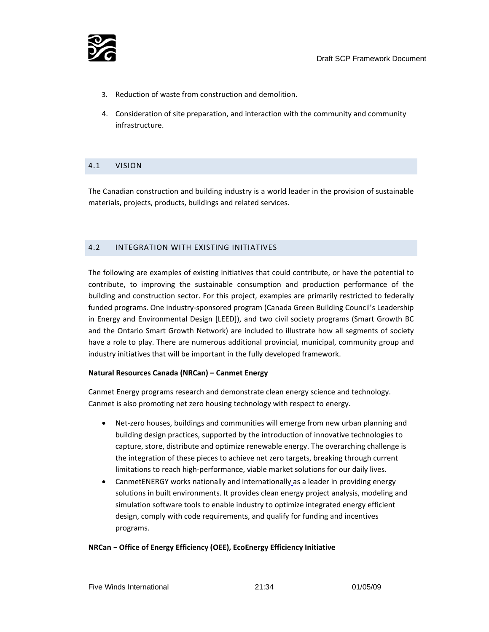

- 3. Reduction of waste from construction and demolition.
- 4. Consideration of site preparation, and interaction with the community and community infrastructure.

# 4.1 VISION

The Canadian construction and building industry is a world leader in the provision of sustainable materials, projects, products, buildings and related services.

#### 4.2 INTEGRATION WITH EXISTING INITIATIVES

The following are examples of existing initiatives that could contribute, or have the potential to contribute, to improving the sustainable consumption and production performance of the building and construction sector. For this project, examples are primarily restricted to federally funded programs. One industry‐sponsored program (Canada Green Building Council's Leadership in Energy and Environmental Design [LEED]), and two civil society programs (Smart Growth BC and the Ontario Smart Growth Network) are included to illustrate how all segments of society have a role to play. There are numerous additional provincial, municipal, community group and industry initiatives that will be important in the fully developed framework.

#### **Natural Resources Canada (NRCan) – Canmet Energy**

Canmet Energy programs research and demonstrate clean energy science and technology. Canmet is also promoting net zero housing technology with respect to energy.

- Net-zero houses, buildings and communities will emerge from new urban planning and building design practices, supported by the introduction of innovative technologies to capture, store, distribute and optimize renewable energy. The overarching challenge is the integration of these pieces to achieve net zero targets, breaking through current limitations to reach high‐performance, viable market solutions for our daily lives.
- CanmetENERGY works nationally and internationally as a leader in providing energy solutions in built environments. It provides clean energy project analysis, modeling and simulation software tools to enable industry to optimize integrated energy efficient design, comply with code requirements, and qualify for funding and incentives programs.

#### **NRCan – Office of Energy Efficiency (OEE), EcoEnergy Efficiency Initiative**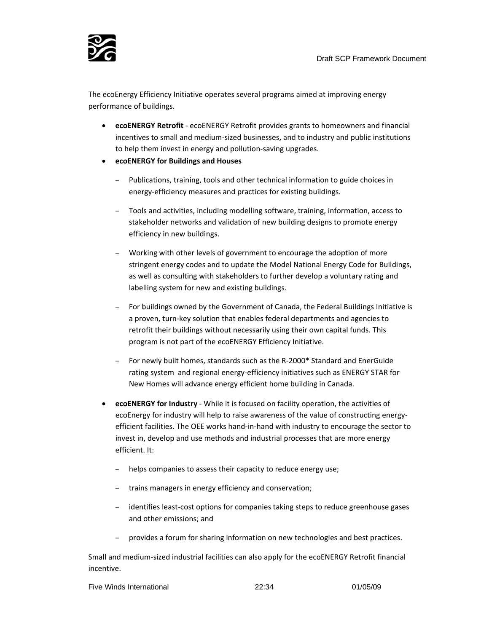

The ecoEnergy Efficiency Initiative operates several programs aimed at improving energy performance of buildings.

- **ecoENERGY Retrofit** ‐ ecoENERGY Retrofit provides grants to homeowners and financial incentives to small and medium‐sized businesses, and to industry and public institutions to help them invest in energy and pollution‐saving upgrades.
- **ecoENERGY for Buildings and Houses** 
	- Publications, training, tools and other technical information to guide choices in energy-efficiency measures and practices for existing buildings.
	- Tools and activities, including modelling software, training, information, access to stakeholder networks and validation of new building designs to promote energy efficiency in new buildings.
	- Working with other levels of government to encourage the adoption of more stringent energy codes and to update the Model National Energy Code for Buildings, as well as consulting with stakeholders to further develop a voluntary rating and labelling system for new and existing buildings.
	- For buildings owned by the Government of Canada, the Federal Buildings Initiative is a proven, turn‐key solution that enables federal departments and agencies to retrofit their buildings without necessarily using their own capital funds. This program is not part of the ecoENERGY Efficiency Initiative.
	- For newly built homes, standards such as the R‐2000\* Standard and EnerGuide rating system and regional energy-efficiency initiatives such as ENERGY STAR for New Homes will advance energy efficient home building in Canada.
- **ecoENERGY for Industry** ‐ While it is focused on facility operation, the activities of ecoEnergy for industry will help to raise awareness of the value of constructing energy‐ efficient facilities. The OEE works hand‐in‐hand with industry to encourage the sector to invest in, develop and use methods and industrial processes that are more energy efficient. It:
	- helps companies to assess their capacity to reduce energy use;
	- trains managers in energy efficiency and conservation;
	- identifies least‐cost options for companies taking steps to reduce greenhouse gases and other emissions; and
	- provides a forum for sharing information on new technologies and best practices.

Small and medium‐sized industrial facilities can also apply for the ecoENERGY Retrofit financial incentive.

|  | Five Winds International | 22:34 | 01/05/09 |
|--|--------------------------|-------|----------|
|--|--------------------------|-------|----------|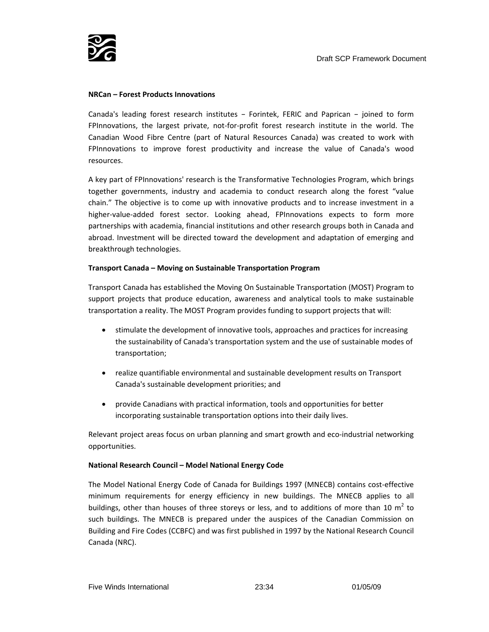

#### **NRCan – Forest Products Innovations**

Canada's leading forest research institutes – Forintek, FERIC and Paprican – joined to form FPInnovations, the largest private, not-for-profit forest research institute in the world. The Canadian Wood Fibre Centre (part of Natural Resources Canada) was created to work with FPInnovations to improve forest productivity and increase the value of Canada's wood resources.

A key part of FPInnovations' research is the Transformative Technologies Program, which brings together governments, industry and academia to conduct research along the forest "value chain." The objective is to come up with innovative products and to increase investment in a higher-value-added forest sector. Looking ahead, FPInnovations expects to form more partnerships with academia, financial institutions and other research groups both in Canada and abroad. Investment will be directed toward the development and adaptation of emerging and breakthrough technologies.

#### **Transport Canada – Moving on Sustainable Transportation Program**

Transport Canada has established the Moving On Sustainable Transportation (MOST) Program to support projects that produce education, awareness and analytical tools to make sustainable transportation a reality. The MOST Program provides funding to support projects that will:

- stimulate the development of innovative tools, approaches and practices for increasing the sustainability of Canada's transportation system and the use of sustainable modes of transportation;
- realize quantifiable environmental and sustainable development results on Transport Canada's sustainable development priorities; and
- provide Canadians with practical information, tools and opportunities for better incorporating sustainable transportation options into their daily lives.

Relevant project areas focus on urban planning and smart growth and eco-industrial networking opportunities.

#### **National Research Council – Model National Energy Code**

The Model National Energy Code of Canada for Buildings 1997 (MNECB) contains cost‐effective minimum requirements for energy efficiency in new buildings. The MNECB applies to all buildings, other than houses of three storeys or less, and to additions of more than 10  $m^2$  to such buildings. The MNECB is prepared under the auspices of the Canadian Commission on Building and Fire Codes (CCBFC) and was first published in 1997 by the National Research Council Canada (NRC).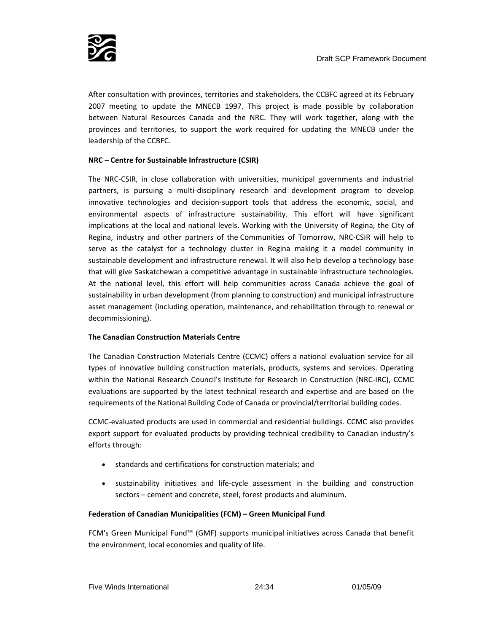After consultation with provinces, territories and stakeholders, the CCBFC agreed at its February 2007 meeting to update the MNECB 1997. This project is made possible by collaboration between Natural Resources Canada and the NRC. They will work together, along with the provinces and territories, to support the work required for updating the MNECB under the leadership of the CCBFC.

# **NRC – Centre for Sustainable Infrastructure (CSIR)**

The NRC‐CSIR, in close collaboration with universities, municipal governments and industrial partners, is pursuing a multi-disciplinary research and development program to develop innovative technologies and decision‐support tools that address the economic, social, and environmental aspects of infrastructure sustainability. This effort will have significant implications at the local and national levels. Working with the University of Regina, the City of Regina, industry and other partners of the Communities of Tomorrow, NRC‐CSIR will help to serve as the catalyst for a technology cluster in Regina making it a model community in sustainable development and infrastructure renewal. It will also help develop a technology base that will give Saskatchewan a competitive advantage in sustainable infrastructure technologies. At the national level, this effort will help communities across Canada achieve the goal of sustainability in urban development (from planning to construction) and municipal infrastructure asset management (including operation, maintenance, and rehabilitation through to renewal or decommissioning).

#### **The Canadian Construction Materials Centre**

The Canadian Construction Materials Centre (CCMC) offers a national evaluation service for all types of innovative building construction materials, products, systems and services. Operating within the National Research Council's Institute for Research in Construction (NRC‐IRC), CCMC evaluations are supported by the latest technical research and expertise and are based on the requirements of the National Building Code of Canada or provincial/territorial building codes.

CCMC‐evaluated products are used in commercial and residential buildings. CCMC also provides export support for evaluated products by providing technical credibility to Canadian industry's efforts through:

- standards and certifications for construction materials; and
- sustainability initiatives and life-cycle assessment in the building and construction sectors – cement and concrete, steel, forest products and aluminum.

# **Federation of Canadian Municipalities (FCM) – Green Municipal Fund**

FCM's Green Municipal Fund™ (GMF) supports municipal initiatives across Canada that benefit the environment, local economies and quality of life.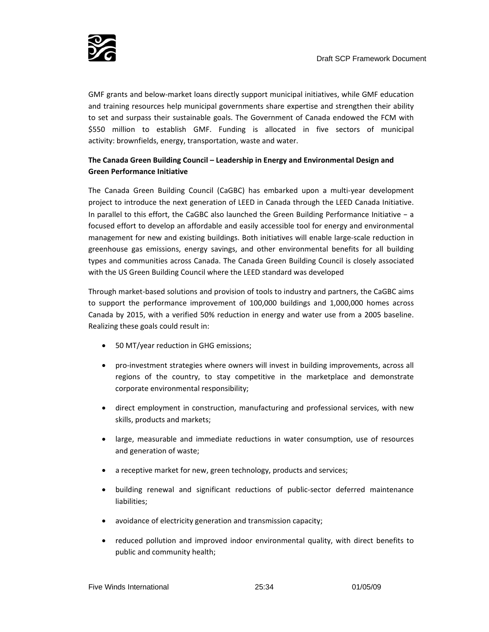

GMF grants and below‐market loans directly support municipal initiatives, while GMF education and training resources help municipal governments share expertise and strengthen their ability to set and surpass their sustainable goals. The Government of Canada endowed the FCM with \$550 million to establish GMF. Funding is allocated in five sectors of municipal activity: brownfields, energy, transportation, waste and water.

# **The Canada Green Building Council – Leadership in Energy and Environmental Design and Green Performance Initiative**

The Canada Green Building Council (CaGBC) has embarked upon a multi‐year development project to introduce the next generation of LEED in Canada through the LEED Canada Initiative. In parallel to this effort, the CaGBC also launched the Green Building Performance Initiative – a focused effort to develop an affordable and easily accessible tool for energy and environmental management for new and existing buildings. Both initiatives will enable large-scale reduction in greenhouse gas emissions, energy savings, and other environmental benefits for all building types and communities across Canada. The Canada Green Building Council is closely associated with the US Green Building Council where the LEED standard was developed

Through market‐based solutions and provision of tools to industry and partners, the CaGBC aims to support the performance improvement of 100,000 buildings and 1,000,000 homes across Canada by 2015, with a verified 50% reduction in energy and water use from a 2005 baseline. Realizing these goals could result in:

- 50 MT/year reduction in GHG emissions;
- pro-investment strategies where owners will invest in building improvements, across all regions of the country, to stay competitive in the marketplace and demonstrate corporate environmental responsibility;
- direct employment in construction, manufacturing and professional services, with new skills, products and markets;
- large, measurable and immediate reductions in water consumption, use of resources and generation of waste;
- a receptive market for new, green technology, products and services;
- building renewal and significant reductions of public‐sector deferred maintenance liabilities;
- avoidance of electricity generation and transmission capacity;
- reduced pollution and improved indoor environmental quality, with direct benefits to public and community health;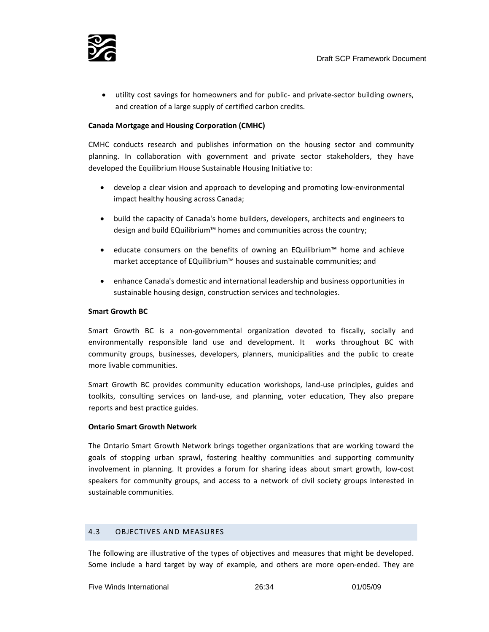

• utility cost savings for homeowners and for public- and private-sector building owners, and creation of a large supply of certified carbon credits.

#### **Canada Mortgage and Housing Corporation (CMHC)**

CMHC conducts research and publishes information on the housing sector and community planning. In collaboration with government and private sector stakeholders, they have developed the Equilibrium House Sustainable Housing Initiative to:

- develop a clear vision and approach to developing and promoting low-environmental impact healthy housing across Canada;
- build the capacity of Canada's home builders, developers, architects and engineers to design and build EQuilibrium™ homes and communities across the country;
- educate consumers on the benefits of owning an EQuilibrium™ home and achieve market acceptance of EQuilibrium™ houses and sustainable communities; and
- enhance Canada's domestic and international leadership and business opportunities in sustainable housing design, construction services and technologies.

#### **Smart Growth BC**

Smart Growth BC is a non-governmental organization devoted to fiscally, socially and environmentally responsible land use and development. It works throughout BC with community groups, businesses, developers, planners, municipalities and the public to create more livable communities.

Smart Growth BC provides community education workshops, land‐use principles, guides and toolkits, consulting services on land‐use, and planning, voter education, They also prepare reports and best practice guides.

#### **Ontario Smart Growth Network**

The Ontario Smart Growth Network brings together organizations that are working toward the goals of stopping urban sprawl, fostering healthy communities and supporting community involvement in planning. It provides a forum for sharing ideas about smart growth, low‐cost speakers for community groups, and access to a network of civil society groups interested in sustainable communities.

#### 4.3 OBJECTIVES AND MEASURES

The following are illustrative of the types of objectives and measures that might be developed. Some include a hard target by way of example, and others are more open-ended. They are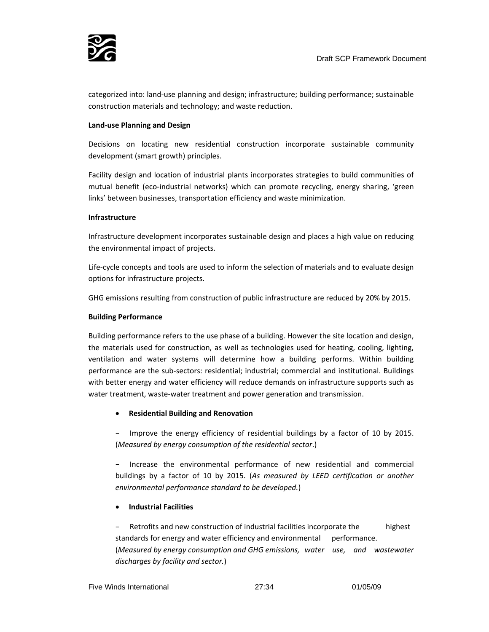

categorized into: land‐use planning and design; infrastructure; building performance; sustainable construction materials and technology; and waste reduction.

#### **Land‐use Planning and Design**

Decisions on locating new residential construction incorporate sustainable community development (smart growth) principles.

Facility design and location of industrial plants incorporates strategies to build communities of mutual benefit (eco-industrial networks) which can promote recycling, energy sharing, 'green links' between businesses, transportation efficiency and waste minimization.

#### **Infrastructure**

Infrastructure development incorporates sustainable design and places a high value on reducing the environmental impact of projects.

Life‐cycle concepts and tools are used to inform the selection of materials and to evaluate design options for infrastructure projects.

GHG emissions resulting from construction of public infrastructure are reduced by 20% by 2015.

#### **Building Performance**

Building performance refers to the use phase of a building. However the site location and design, the materials used for construction, as well as technologies used for heating, cooling, lighting, ventilation and water systems will determine how a building performs. Within building performance are the sub‐sectors: residential; industrial; commercial and institutional. Buildings with better energy and water efficiency will reduce demands on infrastructure supports such as water treatment, waste‐water treatment and power generation and transmission.

#### • **Residential Building and Renovation**

– Improve the energy efficiency of residential buildings by a factor of 10 by 2015. (*Measured by energy consumption of the residential sector*.)

– Increase the environmental performance of new residential and commercial buildings by a factor of 10 by 2015. (*As measured by LEED certification or another environmental performance standard to be developed.*)

#### • **Industrial Facilities**

– Retrofits and new construction of industrial facilities incorporate the highest standards for energy and water efficiency and environmental performance. (*Measured by energy consumption and GHG emissions, water use, and wastewater discharges by facility and sector.*)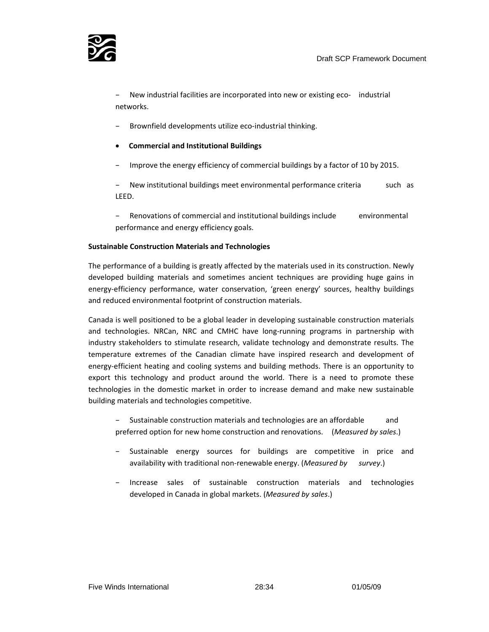

– New industrial facilities are incorporated into new or existing eco‐ industrial networks.

- Brownfield developments utilize eco‐industrial thinking.
- **Commercial and Institutional Buildings**
- Improve the energy efficiency of commercial buildings by a factor of 10 by 2015.

New institutional buildings meet environmental performance criteria such as LEED.

– Renovations of commercial and institutional buildings include environmental performance and energy efficiency goals.

#### **Sustainable Construction Materials and Technologies**

The performance of a building is greatly affected by the materials used in its construction. Newly developed building materials and sometimes ancient techniques are providing huge gains in energy-efficiency performance, water conservation, 'green energy' sources, healthy buildings and reduced environmental footprint of construction materials.

Canada is well positioned to be a global leader in developing sustainable construction materials and technologies. NRCan, NRC and CMHC have long-running programs in partnership with industry stakeholders to stimulate research, validate technology and demonstrate results. The temperature extremes of the Canadian climate have inspired research and development of energy-efficient heating and cooling systems and building methods. There is an opportunity to export this technology and product around the world. There is a need to promote these technologies in the domestic market in order to increase demand and make new sustainable building materials and technologies competitive.

Sustainable construction materials and technologies are an affordable and preferred option for new home construction and renovations. (*Measured by sales*.)

- Sustainable energy sources for buildings are competitive in price and availability with traditional non‐renewable energy. (*Measured by survey*.)
- Increase sales of sustainable construction materials and technologies developed in Canada in global markets. (*Measured by sales*.)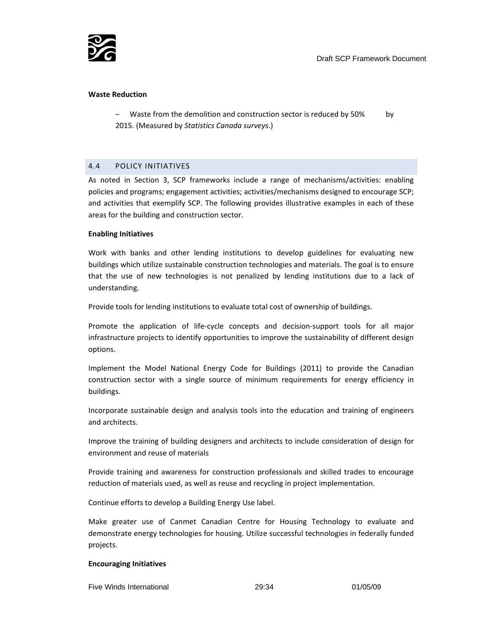

#### **Waste Reduction**

Waste from the demolition and construction sector is reduced by 50% by 2015. (Measured by *Statistics Canada surveys*.)

#### 4.4 POLICY INITIATIVES

As noted in Section 3, SCP frameworks include a range of mechanisms/activities: enabling policies and programs; engagement activities; activities/mechanisms designed to encourage SCP; and activities that exemplify SCP. The following provides illustrative examples in each of these areas for the building and construction sector.

#### **Enabling Initiatives**

Work with banks and other lending institutions to develop guidelines for evaluating new buildings which utilize sustainable construction technologies and materials. The goal is to ensure that the use of new technologies is not penalized by lending institutions due to a lack of understanding.

Provide tools for lending institutions to evaluate total cost of ownership of buildings.

Promote the application of life‐cycle concepts and decision‐support tools for all major infrastructure projects to identify opportunities to improve the sustainability of different design options.

Implement the Model National Energy Code for Buildings (2011) to provide the Canadian construction sector with a single source of minimum requirements for energy efficiency in buildings.

Incorporate sustainable design and analysis tools into the education and training of engineers and architects.

Improve the training of building designers and architects to include consideration of design for environment and reuse of materials

Provide training and awareness for construction professionals and skilled trades to encourage reduction of materials used, as well as reuse and recycling in project implementation.

Continue efforts to develop a Building Energy Use label.

Make greater use of Canmet Canadian Centre for Housing Technology to evaluate and demonstrate energy technologies for housing. Utilize successful technologies in federally funded projects.

#### **Encouraging Initiatives**

Five Winds International 29:34 01/05/09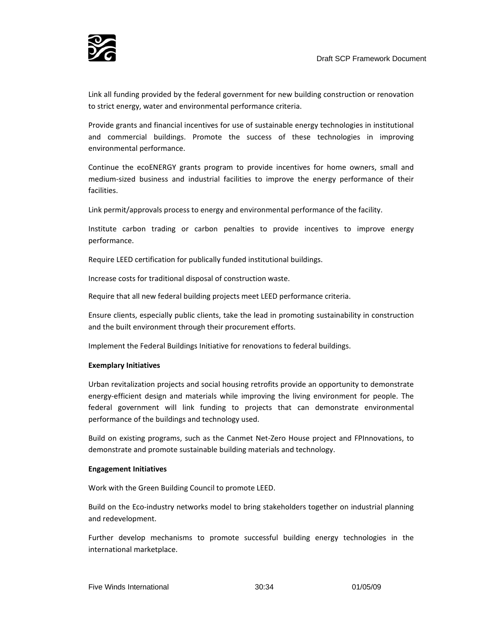

Link all funding provided by the federal government for new building construction or renovation to strict energy, water and environmental performance criteria.

Provide grants and financial incentives for use of sustainable energy technologies in institutional and commercial buildings. Promote the success of these technologies in improving environmental performance.

Continue the ecoENERGY grants program to provide incentives for home owners, small and medium‐sized business and industrial facilities to improve the energy performance of their facilities.

Link permit/approvals process to energy and environmental performance of the facility.

Institute carbon trading or carbon penalties to provide incentives to improve energy performance.

Require LEED certification for publically funded institutional buildings.

Increase costs for traditional disposal of construction waste.

Require that all new federal building projects meet LEED performance criteria.

Ensure clients, especially public clients, take the lead in promoting sustainability in construction and the built environment through their procurement efforts.

Implement the Federal Buildings Initiative for renovations to federal buildings.

#### **Exemplary Initiatives**

Urban revitalization projects and social housing retrofits provide an opportunity to demonstrate energy-efficient design and materials while improving the living environment for people. The federal government will link funding to projects that can demonstrate environmental performance of the buildings and technology used.

Build on existing programs, such as the Canmet Net‐Zero House project and FPInnovations, to demonstrate and promote sustainable building materials and technology.

#### **Engagement Initiatives**

Work with the Green Building Council to promote LEED.

Build on the Eco-industry networks model to bring stakeholders together on industrial planning and redevelopment.

Further develop mechanisms to promote successful building energy technologies in the international marketplace.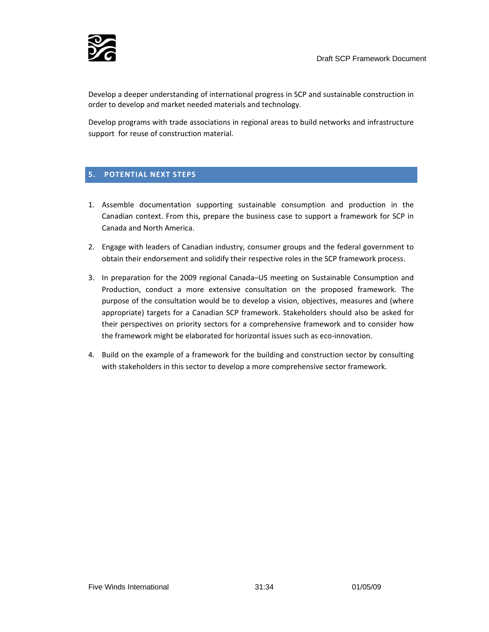

Develop a deeper understanding of international progress in SCP and sustainable construction in order to develop and market needed materials and technology.

Develop programs with trade associations in regional areas to build networks and infrastructure support for reuse of construction material.

# **5. POTENTIAL NEXT STEPS**

- 1. Assemble documentation supporting sustainable consumption and production in the Canadian context. From this, prepare the business case to support a framework for SCP in Canada and North America.
- 2. Engage with leaders of Canadian industry, consumer groups and the federal government to obtain their endorsement and solidify their respective roles in the SCP framework process.
- 3. In preparation for the 2009 regional Canada–US meeting on Sustainable Consumption and Production, conduct a more extensive consultation on the proposed framework. The purpose of the consultation would be to develop a vision, objectives, measures and (where appropriate) targets for a Canadian SCP framework. Stakeholders should also be asked for their perspectives on priority sectors for a comprehensive framework and to consider how the framework might be elaborated for horizontal issues such as eco‐innovation.
- 4. Build on the example of a framework for the building and construction sector by consulting with stakeholders in this sector to develop a more comprehensive sector framework.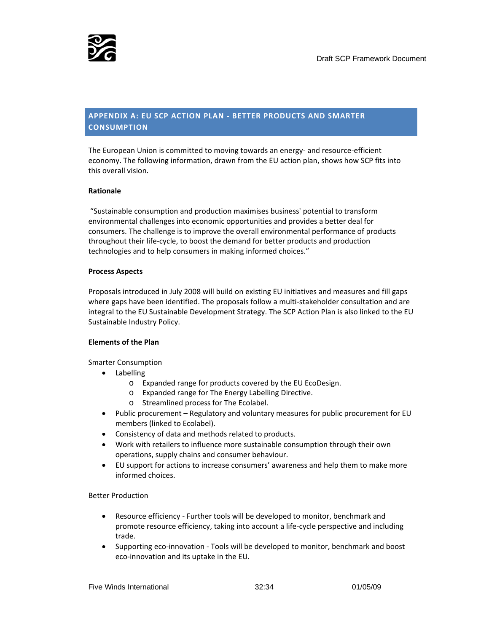

# **APPENDIX A: EU SCP ACTION PLAN ‐ BETTER PRODUCTS AND SMARTER CONSUMPTION**

The European Union is committed to moving towards an energy‐ and resource‐efficient economy. The following information, drawn from the EU action plan, shows how SCP fits into this overall vision.

#### **Rationale**

"Sustainable consumption and production maximises business' potential to transform environmental challenges into economic opportunities and provides a better deal for consumers. The challenge is to improve the overall environmental performance of products throughout their life‐cycle, to boost the demand for better products and production technologies and to help consumers in making informed choices."

#### **Process Aspects**

Proposals introduced in July 2008 will build on existing EU initiatives and measures and fill gaps where gaps have been identified. The proposals follow a multi-stakeholder consultation and are integral to the EU Sustainable Development Strategy. The SCP Action Plan is also linked to the EU Sustainable Industry Policy.

#### **Elements of the Plan**

Smarter Consumption

- Labelling
	- o Expanded range for products covered by the EU EcoDesign.
	- o Expanded range for The Energy Labelling Directive.
	- o Streamlined process for The Ecolabel.
- Public procurement Regulatory and voluntary measures for public procurement for EU members (linked to Ecolabel).
- Consistency of data and methods related to products.
- Work with retailers to influence more sustainable consumption through their own operations, supply chains and consumer behaviour.
- EU support for actions to increase consumers' awareness and help them to make more informed choices.

#### Better Production

- Resource efficiency ‐ Further tools will be developed to monitor, benchmark and promote resource efficiency, taking into account a life‐cycle perspective and including trade.
- Supporting eco-innovation Tools will be developed to monitor, benchmark and boost eco‐innovation and its uptake in the EU.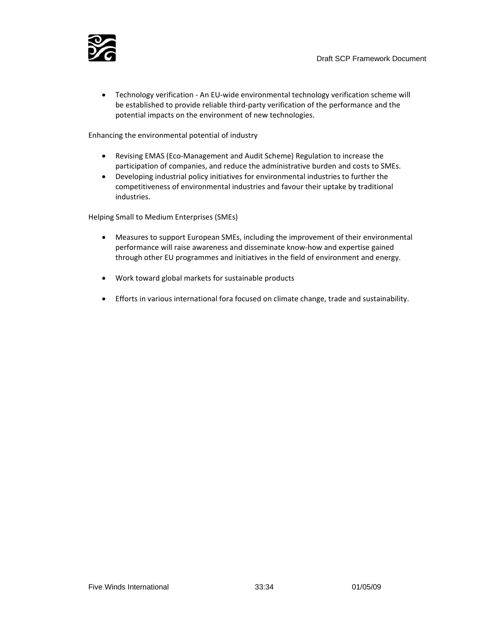

• Technology verification ‐ An EU‐wide environmental technology verification scheme will be established to provide reliable third‐party verification of the performance and the potential impacts on the environment of new technologies.

Enhancing the environmental potential of industry

- Revising EMAS (Eco‐Management and Audit Scheme) Regulation to increase the participation of companies, and reduce the administrative burden and costs to SMEs.
- Developing industrial policy initiatives for environmental industries to further the competitiveness of environmental industries and favour their uptake by traditional industries.

Helping Small to Medium Enterprises (SMEs)

- Measures to support European SMEs, including the improvement of their environmental performance will raise awareness and disseminate know‐how and expertise gained through other EU programmes and initiatives in the field of environment and energy.
- Work toward global markets for sustainable products
- Efforts in various international fora focused on climate change, trade and sustainability.